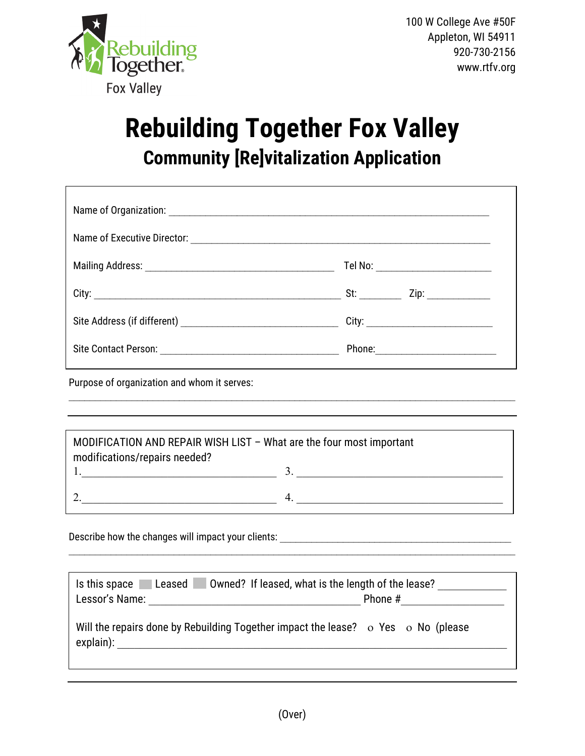

## **Rebuilding Together Fox Valley Community [Re]vitalization Application**

|  | Tel No: ______________________                                                                                                       |  |  |  |  |  |  |
|--|--------------------------------------------------------------------------------------------------------------------------------------|--|--|--|--|--|--|
|  | St: and the state of the state of the state of the state of the state of the state of the state of the state o<br>Zip: _____________ |  |  |  |  |  |  |
|  |                                                                                                                                      |  |  |  |  |  |  |
|  | Phone: <u>____________________</u>                                                                                                   |  |  |  |  |  |  |

Purpose of organization and whom it serves:

| MODIFICATION AND REPAIR WISH LIST - What are the four most important<br>modifications/repairs needed? |  |  |  |  |  |  |
|-------------------------------------------------------------------------------------------------------|--|--|--|--|--|--|
|                                                                                                       |  |  |  |  |  |  |
|                                                                                                       |  |  |  |  |  |  |

 $\mathcal{L}_\text{max}$  , and the contribution of the contribution of the contribution of the contribution of the contribution of the contribution of the contribution of the contribution of the contribution of the contribution of t

Describe how the changes will impact your clients:

| Owned? If leased, what is the length of the lease?<br>Is this space<br>Leased<br>Lessor's Name:<br>Phone # |  |  |  |  |  |  |  |
|------------------------------------------------------------------------------------------------------------|--|--|--|--|--|--|--|
| Will the repairs done by Rebuilding Together impact the lease? $\circ$ Yes $\circ$ No (please<br>explain): |  |  |  |  |  |  |  |

 $\_$  , and the set of the set of the set of the set of the set of the set of the set of the set of the set of the set of the set of the set of the set of the set of the set of the set of the set of the set of the set of th